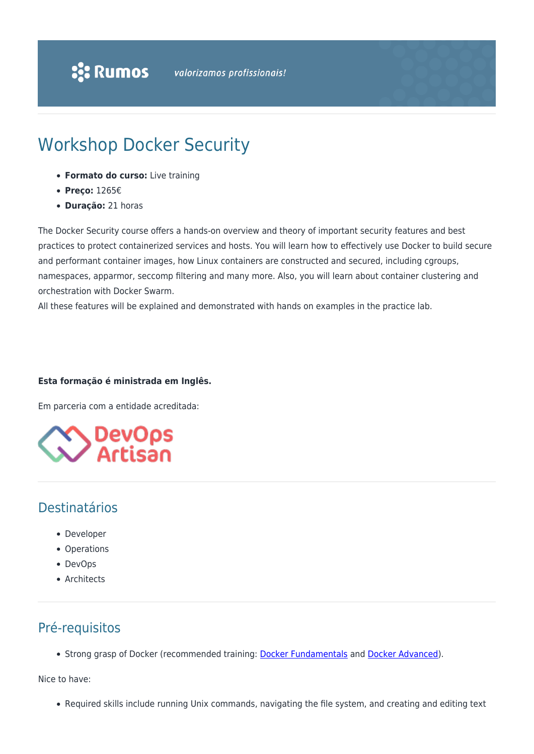# Workshop Docker Security

- **Formato do curso:** Live training
- **Preço:** 1265€
- **Duração:** 21 horas

The Docker Security course offers a hands-on overview and theory of important security features and best practices to protect containerized services and hosts. You will learn how to effectively use Docker to build secure and performant container images, how Linux containers are constructed and secured, including cgroups, namespaces, apparmor, seccomp filtering and many more. Also, you will learn about container clustering and orchestration with Docker Swarm.

All these features will be explained and demonstrated with hands on examples in the practice lab.

#### **Esta formação é ministrada em Inglês.**

Em parceria com a entidade acreditada:



### Destinatários

- Developer
- Operations
- DevOps
- Architects

## Pré-requisitos

• Strong grasp of Docker (recommended training: [Docker Fundamentals](https://www.rumos.pt/?p=49204) and [Docker Advanced\)](https://www.rumos.pt/?p=49205).

Nice to have:

Required skills include running Unix commands, navigating the file system, and creating and editing text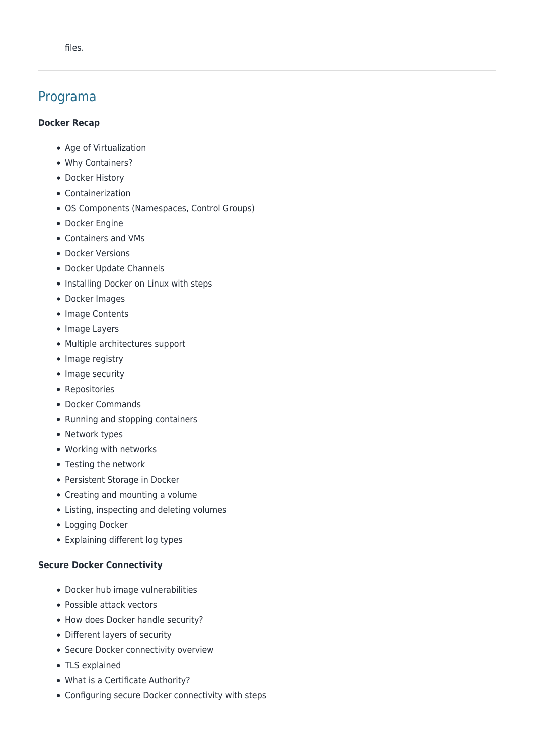### Programa

#### **Docker Recap**

- Age of Virtualization
- Why Containers?
- Docker History
- Containerization
- OS Components (Namespaces, Control Groups)
- Docker Engine
- Containers and VMs
- Docker Versions
- Docker Update Channels
- Installing Docker on Linux with steps
- Docker Images
- Image Contents
- Image Layers
- Multiple architectures support
- Image registry
- Image security
- Repositories
- Docker Commands
- Running and stopping containers
- Network types
- Working with networks
- Testing the network
- Persistent Storage in Docker
- Creating and mounting a volume
- Listing, inspecting and deleting volumes
- Logging Docker
- Explaining different log types

#### **Secure Docker Connectivity**

- Docker hub image vulnerabilities
- Possible attack vectors
- How does Docker handle security?
- Different layers of security
- Secure Docker connectivity overview
- TLS explained
- What is a Certificate Authority?
- Configuring secure Docker connectivity with steps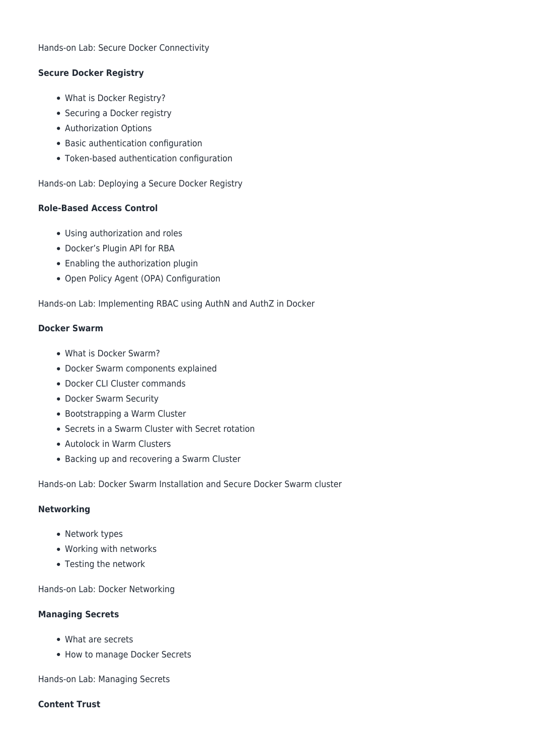#### **Secure Docker Registry**

- What is Docker Registry?
- Securing a Docker registry
- Authorization Options
- Basic authentication configuration
- Token-based authentication configuration

Hands-on Lab: Deploying a Secure Docker Registry

#### **Role-Based Access Control**

- Using authorization and roles
- Docker's Plugin API for RBA
- Enabling the authorization plugin
- Open Policy Agent (OPA) Configuration

Hands-on Lab: Implementing RBAC using AuthN and AuthZ in Docker

#### **Docker Swarm**

- What is Docker Swarm?
- Docker Swarm components explained
- Docker CLI Cluster commands
- Docker Swarm Security
- Bootstrapping a Warm Cluster
- Secrets in a Swarm Cluster with Secret rotation
- Autolock in Warm Clusters
- Backing up and recovering a Swarm Cluster

Hands-on Lab: Docker Swarm Installation and Secure Docker Swarm cluster

#### **Networking**

- Network types
- Working with networks
- Testing the network

Hands-on Lab: Docker Networking

#### **Managing Secrets**

- What are secrets
- How to manage Docker Secrets

Hands-on Lab: Managing Secrets

#### **Content Trust**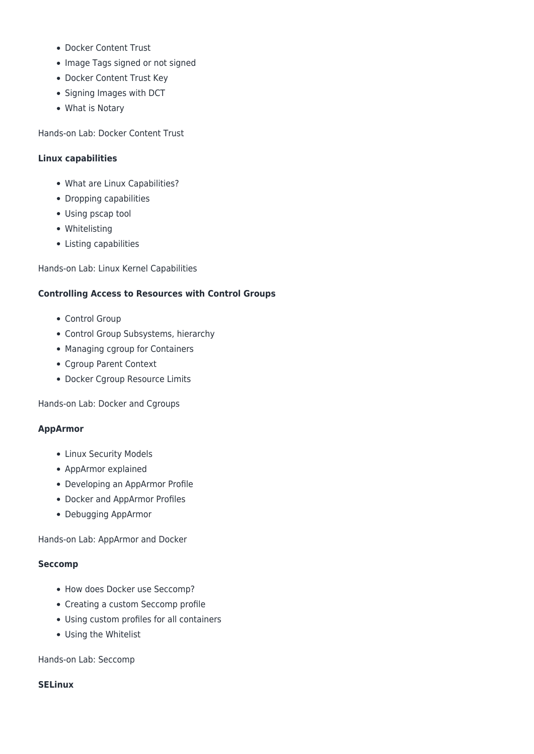- Docker Content Trust
- Image Tags signed or not signed
- Docker Content Trust Key
- Signing Images with DCT
- What is Notary

Hands-on Lab: Docker Content Trust

#### **Linux capabilities**

- What are Linux Capabilities?
- Dropping capabilities
- Using pscap tool
- Whitelisting
- Listing capabilities

Hands-on Lab: Linux Kernel Capabilities

#### **Controlling Access to Resources with Control Groups**

- Control Group
- Control Group Subsystems, hierarchy
- Managing cgroup for Containers
- Cgroup Parent Context
- Docker Cgroup Resource Limits

Hands-on Lab: Docker and Cgroups

#### **AppArmor**

- Linux Security Models
- AppArmor explained
- Developing an AppArmor Profile
- Docker and AppArmor Profiles
- Debugging AppArmor

Hands-on Lab: AppArmor and Docker

#### **Seccomp**

- How does Docker use Seccomp?
- Creating a custom Seccomp profile
- Using custom profiles for all containers
- Using the Whitelist

Hands-on Lab: Seccomp

**SELinux**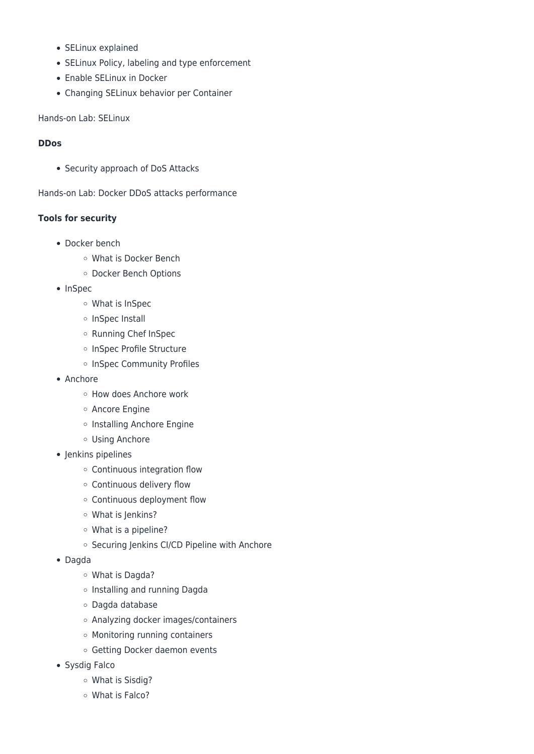- SELinux explained
- SELinux Policy, labeling and type enforcement
- Enable SELinux in Docker
- Changing SELinux behavior per Container

Hands-on Lab: SELinux

#### **DDos**

• Security approach of DoS Attacks

Hands-on Lab: Docker DDoS attacks performance

#### **Tools for security**

- Docker bench
	- What is Docker Bench
	- Docker Bench Options
- InSpec
	- What is InSpec
	- o InSpec Install
	- o Running Chef InSpec
	- o InSpec Profile Structure
	- o InSpec Community Profiles
- Anchore
	- How does Anchore work
	- Ancore Engine
	- o Installing Anchore Engine
	- Using Anchore
- Jenkins pipelines
	- Continuous integration flow
	- Continuous delivery flow
	- Continuous deployment flow
	- What is Jenkins?
	- What is a pipeline?
	- o Securing Jenkins CI/CD Pipeline with Anchore
- Dagda
	- What is Dagda?
	- o Installing and running Dagda
	- Dagda database
	- Analyzing docker images/containers
	- Monitoring running containers
	- o Getting Docker daemon events
- Sysdig Falco
	- What is Sisdig?
	- What is Falco?